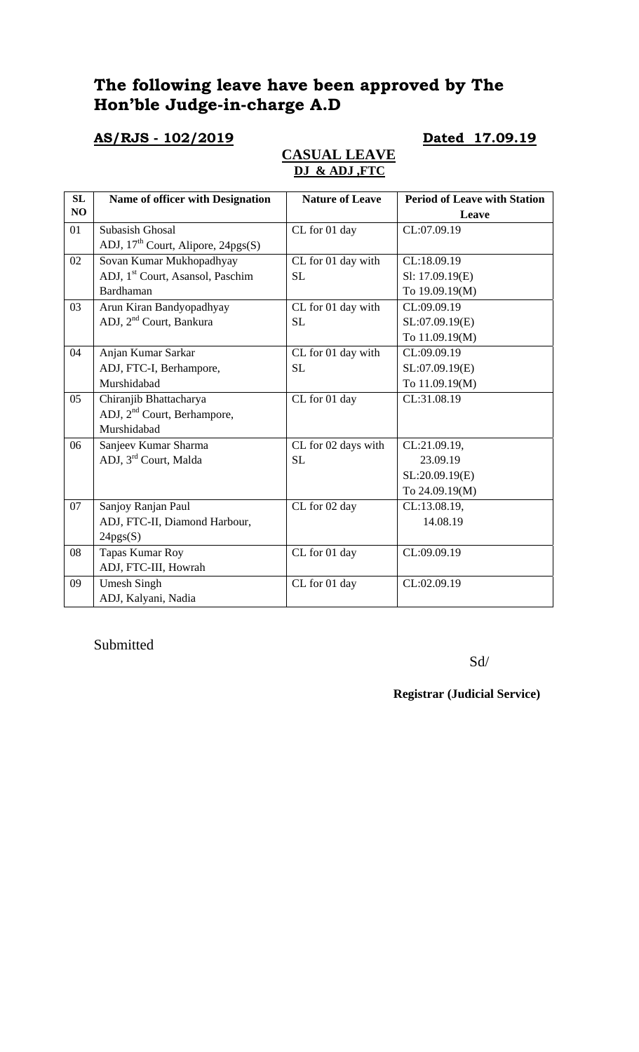# **The following leave have been approved by The Hon'ble Judge-in-charge A.D**

### **AS/RJS - 102/2019 Dated 17.09.19**

### **CASUAL LEAVE DJ & ADJ ,FTC**

| SL | Name of officer with Designation               | <b>Nature of Leave</b> | <b>Period of Leave with Station</b> |
|----|------------------------------------------------|------------------------|-------------------------------------|
| NO |                                                |                        | Leave                               |
| 01 | Subasish Ghosal                                | CL for 01 day          | CL:07.09.19                         |
|    | ADJ, 17 <sup>th</sup> Court, Alipore, 24pgs(S) |                        |                                     |
| 02 | Sovan Kumar Mukhopadhyay                       | CL for 01 day with     | CL:18.09.19                         |
|    | ADJ, 1 <sup>st</sup> Court, Asansol, Paschim   | <b>SL</b>              | Sl: 17.09.19(E)                     |
|    | Bardhaman                                      |                        | To 19.09.19(M)                      |
| 03 | Arun Kiran Bandyopadhyay                       | CL for 01 day with     | CL:09.09.19                         |
|    | ADJ, 2 <sup>nd</sup> Court, Bankura            | SL                     | SL:07.09.19(E)                      |
|    |                                                |                        | To 11.09.19(M)                      |
| 04 | Anjan Kumar Sarkar                             | CL for 01 day with     | CL:09.09.19                         |
|    | ADJ, FTC-I, Berhampore,                        | <b>SL</b>              | SL:07.09.19(E)                      |
|    | Murshidabad                                    |                        | To 11.09.19(M)                      |
| 05 | Chiranjib Bhattacharya                         | CL for 01 day          | CL:31.08.19                         |
|    | ADJ, 2 <sup>nd</sup> Court, Berhampore,        |                        |                                     |
|    | Murshidabad                                    |                        |                                     |
| 06 | Sanjeev Kumar Sharma                           | CL for 02 days with    | CL:21.09.19,                        |
|    | ADJ, 3rd Court, Malda                          | <b>SL</b>              | 23.09.19                            |
|    |                                                |                        | SL:20.09.19(E)                      |
|    |                                                |                        | To 24.09.19(M)                      |
| 07 | Sanjoy Ranjan Paul                             | CL for 02 day          | CL:13.08.19,                        |
|    | ADJ, FTC-II, Diamond Harbour,                  |                        | 14.08.19                            |
|    | 24pgs(S)                                       |                        |                                     |
| 08 | Tapas Kumar Roy                                | CL for 01 day          | CL:09.09.19                         |
|    | ADJ, FTC-III, Howrah                           |                        |                                     |
| 09 | <b>Umesh Singh</b>                             | CL for 01 day          | CL:02.09.19                         |
|    | ADJ, Kalyani, Nadia                            |                        |                                     |

Submitted

Sd/

**Registrar (Judicial Service)**